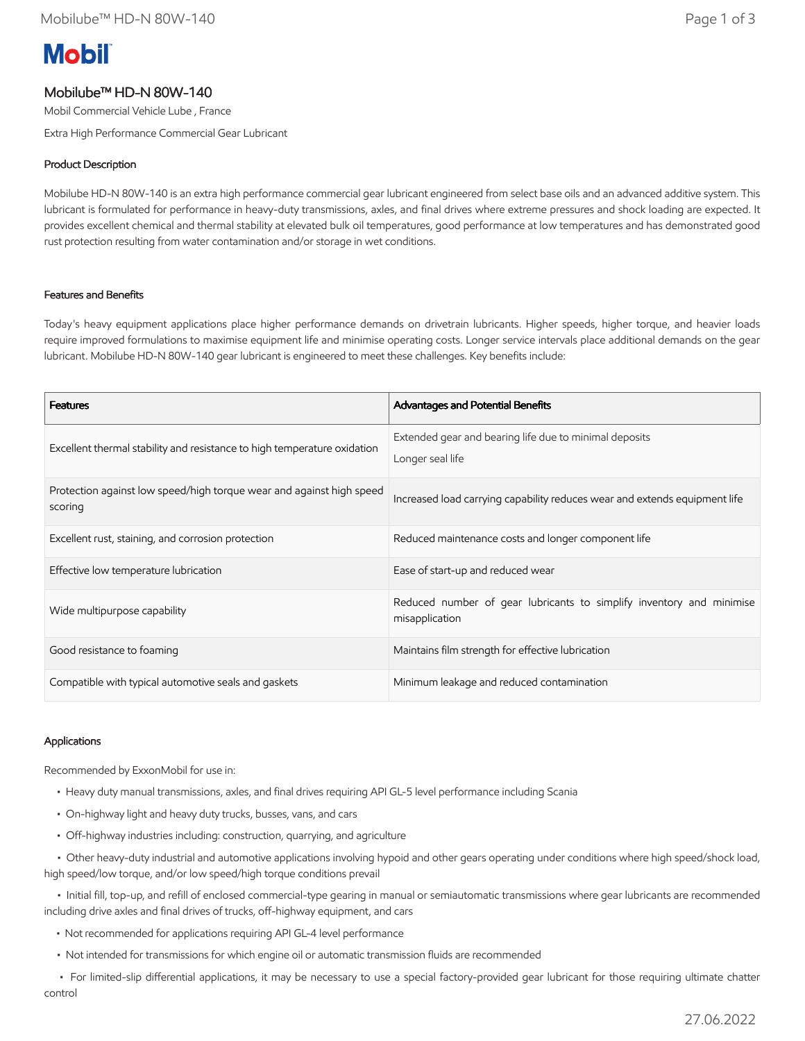# **Mobil**

# Mobilube™ HD-N 80W-140

Mobil Commercial Vehicle Lube , France

Extra High Performance Commercial Gear Lubricant

# Product Description

Mobilube HD-N 80W-140 is an extra high performance commercial gear lubricant engineered from select base oils and an advanced additive system. This lubricant is formulated for performance in heavy-duty transmissions, axles, and final drives where extreme pressures and shock loading are expected. It provides excellent chemical and thermal stability at elevated bulk oil temperatures, good performance at low temperatures and has demonstrated good rust protection resulting from water contamination and/or storage in wet conditions.

### Features and Benefits

Today's heavy equipment applications place higher performance demands on drivetrain lubricants. Higher speeds, higher torque, and heavier loads require improved formulations to maximise equipment life and minimise operating costs. Longer service intervals place additional demands on the gear lubricant. Mobilube HD-N 80W-140 gear lubricant is engineered to meet these challenges. Key benefits include:

| <b>Features</b>                                                                 | Advantages and Potential Benefits                                                      |
|---------------------------------------------------------------------------------|----------------------------------------------------------------------------------------|
| Excellent thermal stability and resistance to high temperature oxidation        | Extended gear and bearing life due to minimal deposits<br>Longer seal life             |
| Protection against low speed/high torque wear and against high speed<br>scoring | Increased load carrying capability reduces wear and extends equipment life             |
| Excellent rust, staining, and corrosion protection                              | Reduced maintenance costs and longer component life                                    |
| Effective low temperature lubrication                                           | Ease of start-up and reduced wear                                                      |
| Wide multipurpose capability                                                    | Reduced number of gear lubricants to simplify inventory and minimise<br>misapplication |
| Good resistance to foaming                                                      | Maintains film strength for effective lubrication                                      |
| Compatible with typical automotive seals and gaskets                            | Minimum leakage and reduced contamination                                              |

#### Applications

Recommended by ExxonMobil for use in:

- Heavy duty manual transmissions, axles, and final drives requiring API GL-5 level performance including Scania
- On-highway light and heavy duty trucks, busses, vans, and cars
- Off-highway industries including: construction, quarrying, and agriculture

 • Other heavy-duty industrial and automotive applications involving hypoid and other gears operating under conditions where high speed/shock load, high speed/low torque, and/or low speed/high torque conditions prevail

 • Initial fill, top-up, and refill of enclosed commercial-type gearing in manual or semiautomatic transmissions where gear lubricants are recommended including drive axles and final drives of trucks, off-highway equipment, and cars

- Not recommended for applications requiring API GL-4 level performance
- Not intended for transmissions for which engine oil or automatic transmission fluids are recommended

 • For limited-slip differential applications, it may be necessary to use a special factory-provided gear lubricant for those requiring ultimate chatter control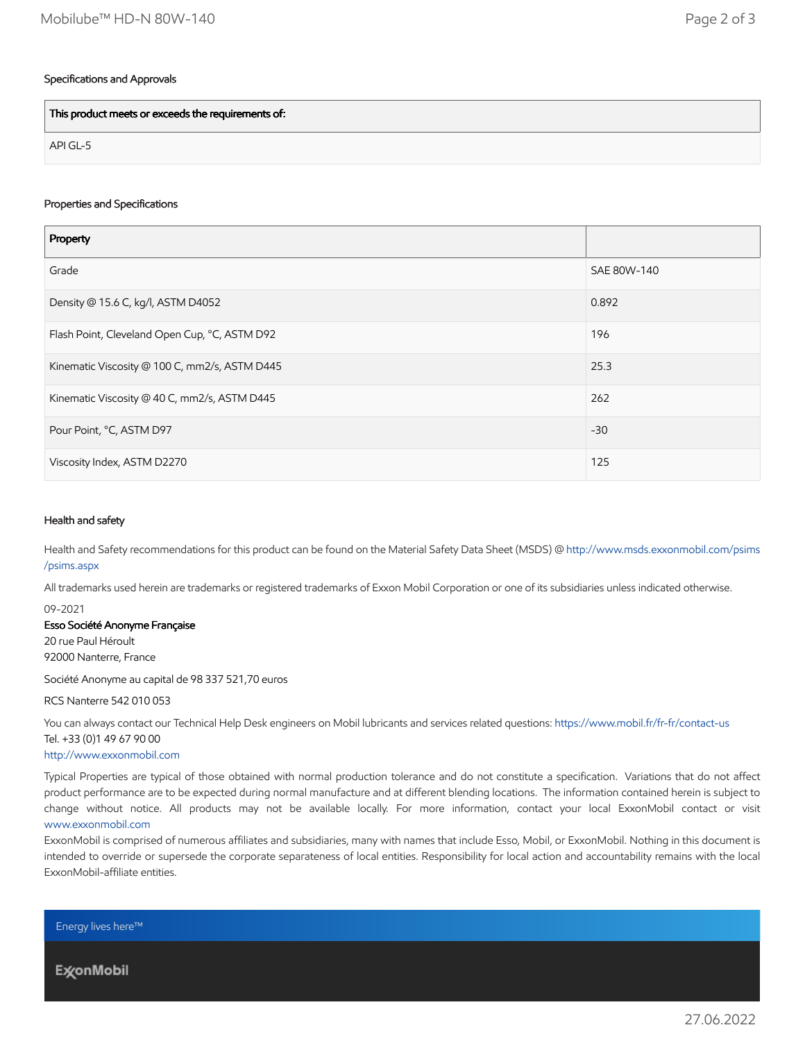# Specifications and Approvals

This product meets or exceeds the requirements of:

API GL-5

# Properties and Specifications

| Property                                      |             |
|-----------------------------------------------|-------------|
| Grade                                         | SAE 80W-140 |
| Density @ 15.6 C, kg/l, ASTM D4052            | 0.892       |
| Flash Point, Cleveland Open Cup, °C, ASTM D92 | 196         |
| Kinematic Viscosity @ 100 C, mm2/s, ASTM D445 | 25.3        |
| Kinematic Viscosity @ 40 C, mm2/s, ASTM D445  | 262         |
| Pour Point, °C, ASTM D97                      | $-30$       |
| Viscosity Index, ASTM D2270                   | 125         |

#### Health and safety

Health and Safety recommendations for this product can be found on the Material Safety Data Sheet (MSDS) @ [http://www.msds.exxonmobil.com/psims](http://www.msds.exxonmobil.com/psims/psims.aspx) /psims.aspx

All trademarks used herein are trademarks or registered trademarks of Exxon Mobil Corporation or one of its subsidiaries unless indicated otherwise.

09-2021

#### Esso Société Anonyme Française

20 rue Paul Héroult 92000 Nanterre, France

Société Anonyme au capital de 98 337 521,70 euros

RCS Nanterre 542 010 053

You can always contact our Technical Help Desk engineers on Mobil lubricants and services related questions:<https://www.mobil.fr/fr-fr/contact-us> Tel. +33 (0)1 49 67 90 00

#### [http://www.exxonmobil.com](http://www.exxonmobil.com/)

Typical Properties are typical of those obtained with normal production tolerance and do not constitute a specification. Variations that do not affect product performance are to be expected during normal manufacture and at different blending locations. The information contained herein is subject to change without notice. All products may not be available locally. For more information, contact your local ExxonMobil contact or visit [www.exxonmobil.com](http://www.exxonmobil.com/)

ExxonMobil is comprised of numerous affiliates and subsidiaries, many with names that include Esso, Mobil, or ExxonMobil. Nothing in this document is intended to override or supersede the corporate separateness of local entities. Responsibility for local action and accountability remains with the local ExxonMobil-affiliate entities.

Energy lives here™

**ExconMobil**